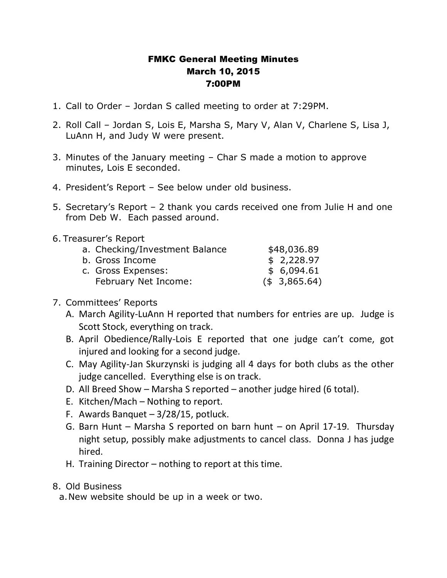## FMKC General Meeting Minutes March 10, 2015 7:00PM

- 1. Call to Order Jordan S called meeting to order at 7:29PM.
- 2. Roll Call Jordan S, Lois E, Marsha S, Mary V, Alan V, Charlene S, Lisa J, LuAnn H, and Judy W were present.
- 3. Minutes of the January meeting Char S made a motion to approve minutes, Lois E seconded.
- 4. President's Report See below under old business.
- 5. Secretary's Report 2 thank you cards received one from Julie H and one from Deb W. Each passed around.
- 6. Treasurer's Report

| a. Checking/Investment Balance | \$48,036.89      |
|--------------------------------|------------------|
| b. Gross Income                | \$2,228.97       |
| c. Gross Expenses:             | \$ 6,094.61      |
| February Net Income:           | $($ \$ 3,865.64) |

## 7. Committees' Reports

- A. March Agility-LuAnn H reported that numbers for entries are up. Judge is Scott Stock, everything on track.
- B. April Obedience/Rally-Lois E reported that one judge can't come, got injured and looking for a second judge.
- C. May Agility-Jan Skurzynski is judging all 4 days for both clubs as the other judge cancelled. Everything else is on track.
- D. All Breed Show Marsha S reported another judge hired (6 total).
- E. Kitchen/Mach Nothing to report.
- F. Awards Banquet 3/28/15, potluck.
- G. Barn Hunt Marsha S reported on barn hunt on April 17-19. Thursday night setup, possibly make adjustments to cancel class. Donna J has judge hired.
- H. Training Director nothing to report at this time.

## 8. Old Business

a.New website should be up in a week or two.